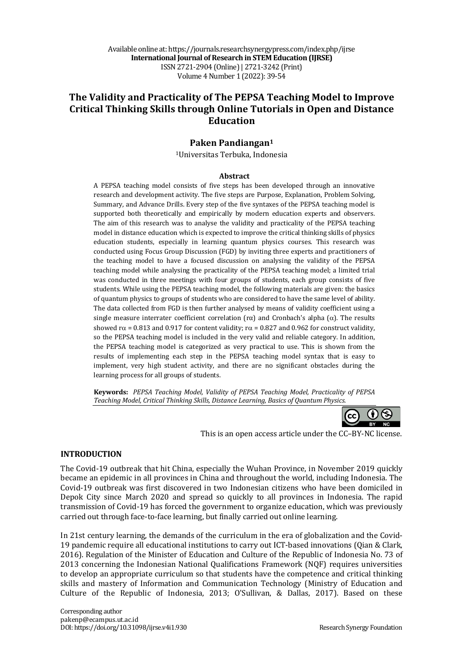Available online at: https://journals.researchsynergypress.com/index.php/ijrse **International Journal of Research in STEM Education (IJRSE)** ISSN 2721-2904 (Online)| 2721-3242 (Print) Volume 4 Number 1 (2022): 39-54

# **The Validity and Practicality of The PEPSA Teaching Model to Improve Critical Thinking Skills through Online Tutorials in Open and Distance Education**

## **Paken Pandiangan1**

<sup>1</sup>Universitas Terbuka, Indonesia

#### **Abstract**

A PEPSA teaching model consists of five steps has been developed through an innovative research and development activity. The five steps are Purpose, Explanation, Problem Solving, Summary, and Advance Drills. Every step of the five syntaxes of the PEPSA teaching model is supported both theoretically and empirically by modern education experts and observers. The aim of this research was to analyse the validity and practicality of the PEPSA teaching model in distance education which is expected to improve the critical thinking skills of physics education students, especially in learning quantum physics courses. This research was conducted using Focus Group Discussion (FGD) by inviting three experts and practitioners of the teaching model to have a focused discussion on analysing the validity of the PEPSA teaching model while analysing the practicality of the PEPSA teaching model; a limited trial was conducted in three meetings with four groups of students, each group consists of five students. While using the PEPSA teaching model, the following materials are given: the basics of quantum physics to groups of students who are considered to have the same level of ability. The data collected from FGD is then further analysed by means of validity coefficient using a single measure interrater coefficient correlation  $(r\alpha)$  and Cronbach's alpha  $(\alpha)$ . The results showed  $r\alpha$  = 0.813 and 0.917 for content validity;  $r\alpha$  = 0.827 and 0.962 for construct validity, so the PEPSA teaching model is included in the very valid and reliable category. In addition, the PEPSA teaching model is categorized as very practical to use. This is shown from the results of implementing each step in the PEPSA teaching model syntax that is easy to implement, very high student activity, and there are no significant obstacles during the learning process for all groups of students.

**Keywords:** *PEPSA Teaching Model, Validity of PEPSA Teaching Model, Practicality of PEPSA Teaching Model, Critical Thinking Skills, Distance Learning, Basics of Quantum Physics.*

> († ) (cc

This is an open access article under the CC-BY-NC license.

### **INTRODUCTION**

The Covid-19 outbreak that hit China, especially the Wuhan Province, in November 2019 quickly became an epidemic in all provinces in China and throughout the world, including Indonesia. The Covid-19 outbreak was first discovered in two Indonesian citizens who have been domiciled in Depok City since March 2020 and spread so quickly to all provinces in Indonesia. The rapid transmission of Covid-19 has forced the government to organize education, which was previously carried out through face-to-face learning, but finally carried out online learning.

In 21st century learning, the demands of the curriculum in the era of globalization and the Covid-19 pandemic require all educational institutions to carry out ICT-based innovations (Qian & Clark, 2016). Regulation of the Minister of Education and Culture of the Republic of Indonesia No. 73 of 2013 concerning the Indonesian National Qualifications Framework (NQF) requires universities to develop an appropriate curriculum so that students have the competence and critical thinking skills and mastery of Information and Communication Technology (Ministry of Education and Culture of the Republic of Indonesia, 2013; O'Sullivan, & Dallas, 2017). Based on these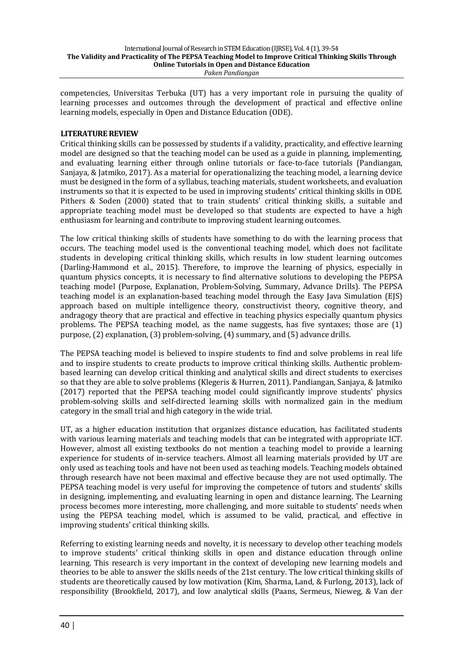competencies, Universitas Terbuka (UT) has a very important role in pursuing the quality of learning processes and outcomes through the development of practical and effective online learning models, especially in Open and Distance Education (ODE).

### **LITERATURE REVIEW**

Critical thinking skills can be possessed by students if a validity, practicality, and effective learning model are designed so that the teaching model can be used as a guide in planning, implementing, and evaluating learning either through online tutorials or face-to-face tutorials (Pandiangan, Sanjaya, & Jatmiko, 2017). As a material for operationalizing the teaching model, a learning device must be designed in the form of a syllabus, teaching materials, student worksheets, and evaluation instruments so that it is expected to be used in improving students' critical thinking skills in ODE. Pithers  $\&$  Soden (2000) stated that to train students' critical thinking skills, a suitable and appropriate teaching model must be developed so that students are expected to have a high enthusiasm for learning and contribute to improving student learning outcomes.

The low critical thinking skills of students have something to do with the learning process that occurs. The teaching model used is the conventional teaching model, which does not facilitate students in developing critical thinking skills, which results in low student learning outcomes (Darling-Hammond et al., 2015). Therefore, to improve the learning of physics, especially in quantum physics concepts, it is necessary to find alternative solutions to developing the PEPSA teaching model (Purpose, Explanation, Problem-Solving, Summary, Advance Drills). The PEPSA teaching model is an explanation-based teaching model through the Easy Java Simulation (EJS) approach based on multiple intelligence theory, constructivist theory, cognitive theory, and andragogy theory that are practical and effective in teaching physics especially quantum physics problems. The PEPSA teaching model, as the name suggests, has five syntaxes; those are  $(1)$ purpose,  $(2)$  explanation,  $(3)$  problem-solving,  $(4)$  summary, and  $(5)$  advance drills.

The PEPSA teaching model is believed to inspire students to find and solve problems in real life and to inspire students to create products to improve critical thinking skills. Authentic problembased learning can develop critical thinking and analytical skills and direct students to exercises so that they are able to solve problems (Klegeris & Hurren, 2011). Pandiangan, Sanjaya, & Jatmiko (2017) reported that the PEPSA teaching model could significantly improve students' physics problem-solving skills and self-directed learning skills with normalized gain in the medium category in the small trial and high category in the wide trial.

UT, as a higher education institution that organizes distance education, has facilitated students with various learning materials and teaching models that can be integrated with appropriate ICT. However, almost all existing textbooks do not mention a teaching model to provide a learning experience for students of in-service teachers. Almost all learning materials provided by UT are only used as teaching tools and have not been used as teaching models. Teaching models obtained through research have not been maximal and effective because they are not used optimally. The PEPSA teaching model is very useful for improving the competence of tutors and students' skills in designing, implementing, and evaluating learning in open and distance learning. The Learning process becomes more interesting, more challenging, and more suitable to students' needs when using the PEPSA teaching model, which is assumed to be valid, practical, and effective in improving students' critical thinking skills.

Referring to existing learning needs and novelty, it is necessary to develop other teaching models to improve students' critical thinking skills in open and distance education through online learning. This research is very important in the context of developing new learning models and theories to be able to answer the skills needs of the 21st century. The low critical thinking skills of students are theoretically caused by low motivation (Kim, Sharma, Land, & Furlong, 2013), lack of responsibility (Brookfield, 2017), and low analytical skills (Paans, Sermeus, Nieweg, & Van der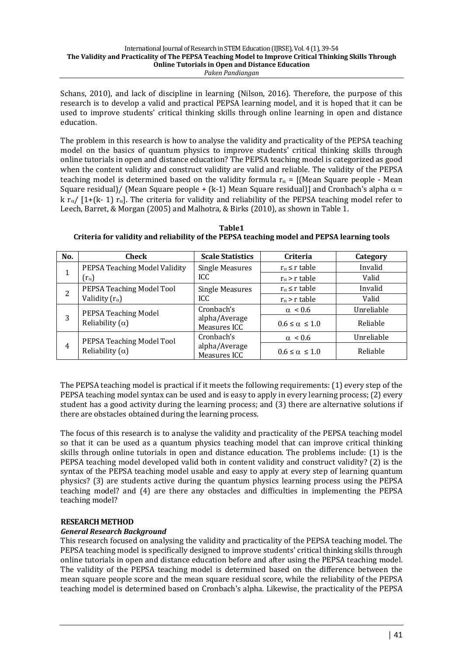Schans,  $2010$ ), and lack of discipline in learning (Nilson,  $2016$ ). Therefore, the purpose of this research is to develop a valid and practical PEPSA learning model, and it is hoped that it can be used to improve students' critical thinking skills through online learning in open and distance education.

The problem in this research is how to analyse the validity and practicality of the PEPSA teaching model on the basics of quantum physics to improve students' critical thinking skills through online tutorials in open and distance education? The PEPSA teaching model is categorized as good when the content validity and construct validity are valid and reliable. The validity of the PEPSA teaching model is determined based on the validity formula  $r_{\alpha} =$  [(Mean Square people - Mean Square residual)/ (Mean Square people + (k-1) Mean Square residual)] and Cronbach's alpha  $\alpha$  =  $k r_\alpha/$  [1+(k- 1)  $r_\alpha$ ]. The criteria for validity and reliability of the PEPSA teaching model refer to Leech, Barret, & Morgan (2005) and Malhotra, & Birks (2010), as shown in Table 1.

| No.            | Check                         | <b>Scale Statistics</b> | Criteria                  | Category   |
|----------------|-------------------------------|-------------------------|---------------------------|------------|
|                | PEPSA Teaching Model Validity | <b>Single Measures</b>  | $r_{\alpha} \leq r$ table | Invalid    |
|                | $(r_\alpha)$                  | ICC.                    | $r_{\alpha}$ > r table    | Valid      |
|                | PEPSA Teaching Model Tool     | <b>Single Measures</b>  | $r_{\alpha} \leq r$ table | Invalid    |
| $\overline{L}$ | Validity $(r_{\alpha})$       | ICC.                    | $r_{\alpha}$ > r table    | Valid      |
|                | $DCDCATP_{0.2}$               | Cronbach's              | $\alpha$ < 0.6            | Unreliable |

alpha/Average Measures ICC

Cronbach's alpha/Average Measures ICC

 $0.6 \le \alpha \le 1.0$  Reliable

 $\alpha$  < 0.6 Unreliable  $0.6 \le \alpha \le 1.0$  Reliable

**Table1** Criteria for validity and reliability of the PEPSA teaching model and PEPSA learning tools

The PEPSA teaching model is practical if it meets the following requirements: (1) every step of the PEPSA teaching model syntax can be used and is easy to apply in every learning process; (2) every student has a good activity during the learning process; and (3) there are alternative solutions if there are obstacles obtained during the learning process.

The focus of this research is to analyse the validity and practicality of the PEPSA teaching model so that it can be used as a quantum physics teaching model that can improve critical thinking skills through online tutorials in open and distance education. The problems include:  $(1)$  is the PEPSA teaching model developed valid both in content validity and construct validity? (2) is the syntax of the PEPSA teaching model usable and easy to apply at every step of learning quantum physics? (3) are students active during the quantum physics learning process using the PEPSA teaching model? and (4) are there any obstacles and difficulties in implementing the PEPSA teaching model?

## **RESEARCH METHOD**

## *General Research Background*

 $3$  PEPSA Teaching Model Reliability  $(\alpha)$ 

Reliability  $(\alpha)$ 

4 PEPSA Teaching Model Tool

This research focused on analysing the validity and practicality of the PEPSA teaching model. The PEPSA teaching model is specifically designed to improve students' critical thinking skills through online tutorials in open and distance education before and after using the PEPSA teaching model. The validity of the PEPSA teaching model is determined based on the difference between the mean square people score and the mean square residual score, while the reliability of the PEPSA teaching model is determined based on Cronbach's alpha. Likewise, the practicality of the PEPSA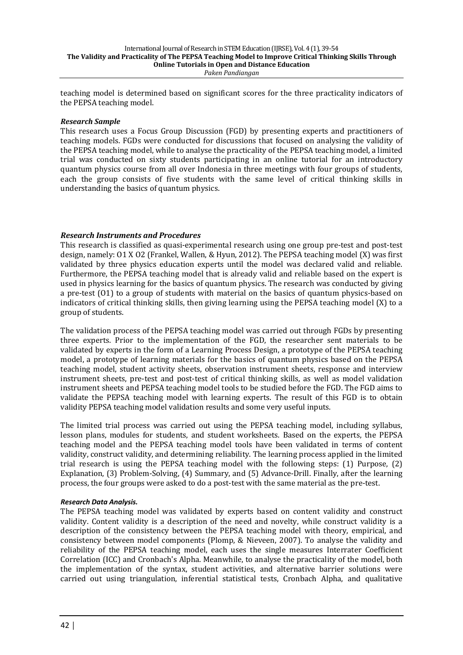teaching model is determined based on significant scores for the three practicality indicators of the PEPSA teaching model.

### *Research Sample*

This research uses a Focus Group Discussion (FGD) by presenting experts and practitioners of teaching models. FGDs were conducted for discussions that focused on analysing the validity of the PEPSA teaching model, while to analyse the practicality of the PEPSA teaching model, a limited trial was conducted on sixty students participating in an online tutorial for an introductory quantum physics course from all over Indonesia in three meetings with four groups of students, each the group consists of five students with the same level of critical thinking skills in understanding the basics of quantum physics.

### *Research Instruments and Procedures*

This research is classified as quasi-experimental research using one group pre-test and post-test design, namely: 01 X 02 (Frankel, Wallen, & Hyun, 2012). The PEPSA teaching model (X) was first validated by three physics education experts until the model was declared valid and reliable. Furthermore, the PEPSA teaching model that is already valid and reliable based on the expert is used in physics learning for the basics of quantum physics. The research was conducted by giving a pre-test (01) to a group of students with material on the basics of quantum physics-based on indicators of critical thinking skills, then giving learning using the PEPSA teaching model  $(X)$  to a group of students.

The validation process of the PEPSA teaching model was carried out through FGDs by presenting three experts. Prior to the implementation of the FGD, the researcher sent materials to be validated by experts in the form of a Learning Process Design, a prototype of the PEPSA teaching model, a prototype of learning materials for the basics of quantum physics based on the PEPSA teaching model, student activity sheets, observation instrument sheets, response and interview instrument sheets, pre-test and post-test of critical thinking skills, as well as model validation instrument sheets and PEPSA teaching model tools to be studied before the FGD. The FGD aims to validate the PEPSA teaching model with learning experts. The result of this FGD is to obtain validity PEPSA teaching model validation results and some very useful inputs.

The limited trial process was carried out using the PEPSA teaching model, including syllabus, lesson plans, modules for students, and student worksheets. Based on the experts, the PEPSA teaching model and the PEPSA teaching model tools have been validated in terms of content validity, construct validity, and determining reliability. The learning process applied in the limited trial research is using the PEPSA teaching model with the following steps:  $(1)$  Purpose,  $(2)$ Explanation, (3) Problem-Solving, (4) Summary, and (5) Advance-Drill. Finally, after the learning process, the four groups were asked to do a post-test with the same material as the pre-test.

### *Research Data Analysis.*

The PEPSA teaching model was validated by experts based on content validity and construct validity. Content validity is a description of the need and novelty, while construct validity is a description of the consistency between the PEPSA teaching model with theory, empirical, and consistency between model components (Plomp, & Nieveen, 2007). To analyse the validity and reliability of the PEPSA teaching model, each uses the single measures Interrater Coefficient Correlation (ICC) and Cronbach's Alpha. Meanwhile, to analyse the practicality of the model, both the implementation of the syntax, student activities, and alternative barrier solutions were carried out using triangulation, inferential statistical tests, Cronbach Alpha, and qualitative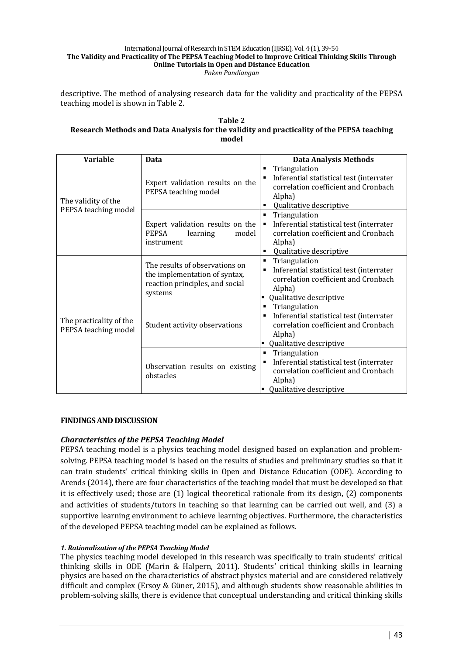descriptive. The method of analysing research data for the validity and practicality of the PEPSA teaching model is shown in Table 2.

#### **Table 2 Research Methods and Data Analysis for the validity and practicality of the PEPSA teaching model**

| <b>Variable</b>                                 | Data                                                                                                          | <b>Data Analysis Methods</b>                                                                                                                          |
|-------------------------------------------------|---------------------------------------------------------------------------------------------------------------|-------------------------------------------------------------------------------------------------------------------------------------------------------|
| The validity of the                             | Expert validation results on the<br>PEPSA teaching model                                                      | Triangulation<br>٠<br>Inferential statistical test (interrater<br>п<br>correlation coefficient and Cronbach<br>Alpha)<br>Qualitative descriptive<br>٠ |
| PEPSA teaching model                            | Expert validation results on the<br>PEPSA<br>learning<br>model<br>instrument                                  | Triangulation<br>٠<br>Inferential statistical test (interrater<br>п<br>correlation coefficient and Cronbach<br>Alpha)<br>Qualitative descriptive<br>٠ |
|                                                 | The results of observations on<br>the implementation of syntax,<br>reaction principles, and social<br>systems | Triangulation<br>٠<br>Inferential statistical test (interrater<br>٠<br>correlation coefficient and Cronbach<br>Alpha)<br>Qualitative descriptive<br>٠ |
| The practicality of the<br>PEPSA teaching model | Student activity observations                                                                                 | Triangulation<br>٠<br>Inferential statistical test (interrater<br>٠<br>correlation coefficient and Cronbach<br>Alpha)<br>Qualitative descriptive<br>٠ |
|                                                 | Observation results on existing<br>obstacles                                                                  | Triangulation<br>٠<br>Inferential statistical test (interrater<br>٠<br>correlation coefficient and Cronbach<br>Alpha)<br>Qualitative descriptive      |

## **FINDINGS AND DISCUSSION**

## **Characteristics of the PEPSA Teaching Model**

PEPSA teaching model is a physics teaching model designed based on explanation and problemsolving. PEPSA teaching model is based on the results of studies and preliminary studies so that it can train students' critical thinking skills in Open and Distance Education (ODE). According to Arends (2014), there are four characteristics of the teaching model that must be developed so that it is effectively used; those are  $(1)$  logical theoretical rationale from its design,  $(2)$  components and activities of students/tutors in teaching so that learning can be carried out well, and (3) a supportive learning environment to achieve learning objectives. Furthermore, the characteristics of the developed PEPSA teaching model can be explained as follows.

### *1. Rationalization of the PEPSA Teaching Model*

The physics teaching model developed in this research was specifically to train students' critical thinking skills in ODE (Marin & Halpern, 2011). Students' critical thinking skills in learning physics are based on the characteristics of abstract physics material and are considered relatively difficult and complex (Ersoy & Güner, 2015), and although students show reasonable abilities in problem-solving skills, there is evidence that conceptual understanding and critical thinking skills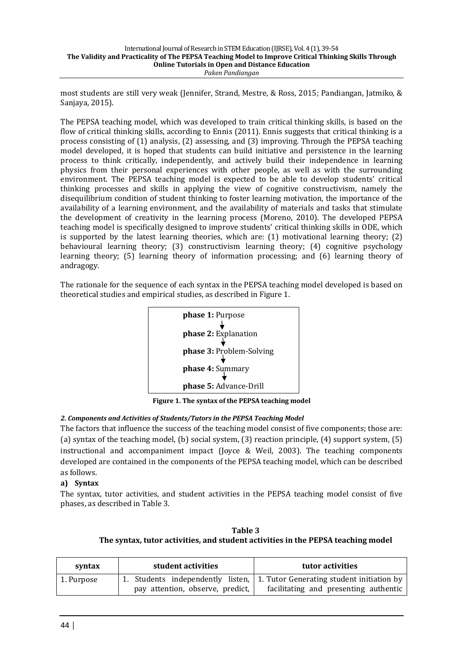most students are still very weak (Jennifer, Strand, Mestre, & Ross, 2015; Pandiangan, Jatmiko, & Sanjaya, 2015).

The PEPSA teaching model, which was developed to train critical thinking skills, is based on the flow of critical thinking skills, according to Ennis (2011). Ennis suggests that critical thinking is a process consisting of  $(1)$  analysis,  $(2)$  assessing, and  $(3)$  improving. Through the PEPSA teaching model developed, it is hoped that students can build initiative and persistence in the learning process to think critically, independently, and actively build their independence in learning physics from their personal experiences with other people, as well as with the surrounding environment. The PEPSA teaching model is expected to be able to develop students' critical thinking processes and skills in applying the view of cognitive constructivism, namely the disequilibrium condition of student thinking to foster learning motivation, the importance of the availability of a learning environment, and the availability of materials and tasks that stimulate the development of creativity in the learning process (Moreno, 2010). The developed PEPSA teaching model is specifically designed to improve students' critical thinking skills in ODE, which is supported by the latest learning theories, which are:  $(1)$  motivational learning theory;  $(2)$ behavioural learning theory; (3) constructivism learning theory; (4) cognitive psychology learning theory;  $(5)$  learning theory of information processing; and  $(6)$  learning theory of andragogy.

The rationale for the sequence of each syntax in the PEPSA teaching model developed is based on theoretical studies and empirical studies, as described in Figure 1.



**Figure 1. The syntax of the PEPSA teaching model** 

### 2. Components and Activities of Students/Tutors in the PEPSA Teaching Model

The factors that influence the success of the teaching model consist of five components; those are: (a) syntax of the teaching model, (b) social system,  $(3)$  reaction principle,  $(4)$  support system,  $(5)$ instructional and accompaniment impact (Joyce & Weil, 2003). The teaching components developed are contained in the components of the PEPSA teaching model, which can be described as follows.

## **a) Syntax**

The syntax, tutor activities, and student activities in the PEPSA teaching model consist of five phases, as described in Table 3.

**Table 3**  The syntax, tutor activities, and student activities in the PEPSA teaching model

| syntax     | student activities               | tutor activities                                                            |
|------------|----------------------------------|-----------------------------------------------------------------------------|
| 1. Purpose |                                  | 1. Students independently listen, 1. Tutor Generating student initiation by |
|            | pay attention, observe, predict, | facilitating and presenting authentic                                       |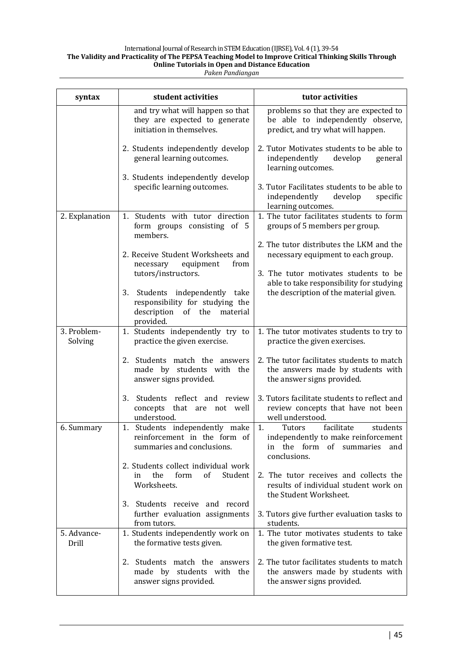| syntax                 | student activities                                                                                                         | tutor activities                                                                                                                          |  |  |  |
|------------------------|----------------------------------------------------------------------------------------------------------------------------|-------------------------------------------------------------------------------------------------------------------------------------------|--|--|--|
|                        | and try what will happen so that<br>they are expected to generate<br>initiation in themselves.                             | problems so that they are expected to<br>be able to independently observe,<br>predict, and try what will happen.                          |  |  |  |
|                        | 2. Students independently develop<br>general learning outcomes.                                                            | 2. Tutor Motivates students to be able to<br>independently<br>develop<br>general<br>learning outcomes.                                    |  |  |  |
|                        | 3. Students independently develop<br>specific learning outcomes.                                                           | 3. Tutor Facilitates students to be able to<br>independently<br>develop<br>specific<br>learning outcomes.                                 |  |  |  |
| 2. Explanation         | 1. Students with tutor direction<br>form groups consisting of 5<br>members.                                                | 1. The tutor facilitates students to form<br>groups of 5 members per group.                                                               |  |  |  |
|                        | 2. Receive Student Worksheets and<br>equipment<br>from<br>necessary                                                        | 2. The tutor distributes the LKM and the<br>necessary equipment to each group.                                                            |  |  |  |
|                        | tutors/instructors.<br>3. Students independently take<br>responsibility for studying the<br>description of the<br>material | 3. The tutor motivates students to be<br>able to take responsibility for studying<br>the description of the material given.               |  |  |  |
| 3. Problem-<br>Solving | provided.<br>1. Students independently try to<br>practice the given exercise.                                              | 1. The tutor motivates students to try to<br>practice the given exercises.                                                                |  |  |  |
|                        | 2. Students match the answers<br>made by students with the<br>answer signs provided.                                       | 2. The tutor facilitates students to match<br>the answers made by students with<br>the answer signs provided.                             |  |  |  |
|                        | Students reflect and review<br>3.<br>concepts that are not well<br>understood.                                             | 3. Tutors facilitate students to reflect and<br>review concepts that have not been<br>well understood.                                    |  |  |  |
| 6. Summary             | 1. Students independently make<br>reinforcement in the form of<br>summaries and conclusions.                               | facilitate<br>1.<br>Tutors<br>students<br>independently to make reinforcement<br>the form<br>of<br>summaries<br>and<br>in<br>conclusions. |  |  |  |
|                        | 2. Students collect individual work<br>the<br>form<br>of<br>Student<br>in<br>Worksheets.                                   | 2. The tutor receives and collects the<br>results of individual student work on<br>the Student Worksheet.                                 |  |  |  |
|                        | 3. Students receive and record<br>further evaluation assignments<br>from tutors.                                           | 3. Tutors give further evaluation tasks to<br>students.                                                                                   |  |  |  |
| 5. Advance-<br>Drill   | 1. Students independently work on<br>the formative tests given.                                                            | 1. The tutor motivates students to take<br>the given formative test.                                                                      |  |  |  |
|                        | 2. Students match the answers<br>made by students with the<br>answer signs provided.                                       | 2. The tutor facilitates students to match<br>the answers made by students with<br>the answer signs provided.                             |  |  |  |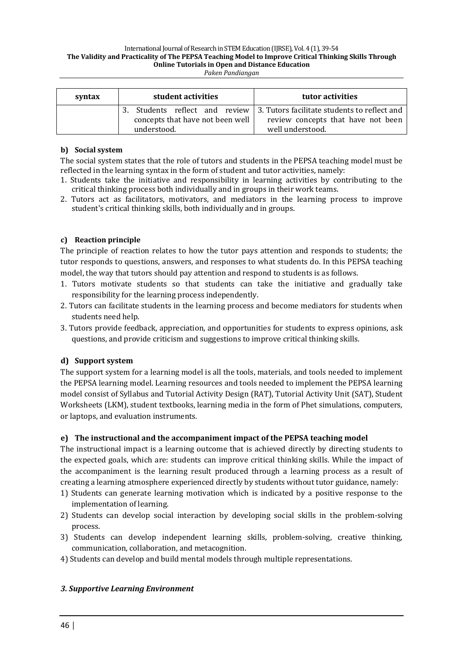| syntax | student activities<br>tutor activities                                   |
|--------|--------------------------------------------------------------------------|
|        | Students reflect and review 3. Tutors facilitate students to reflect and |
|        | concepts that have not been well<br>review concepts that have not been   |
|        | well understood.<br>understood.                                          |

## **b) Social system**

The social system states that the role of tutors and students in the PEPSA teaching model must be reflected in the learning syntax in the form of student and tutor activities, namely:

- 1. Students take the initiative and responsibility in learning activities by contributing to the critical thinking process both individually and in groups in their work teams.
- 2. Tutors act as facilitators, motivators, and mediators in the learning process to improve student's critical thinking skills, both individually and in groups.

### **c) Reaction principle**

The principle of reaction relates to how the tutor pays attention and responds to students; the tutor responds to questions, answers, and responses to what students do. In this PEPSA teaching model, the way that tutors should pay attention and respond to students is as follows.

- 1. Tutors motivate students so that students can take the initiative and gradually take responsibility for the learning process independently.
- 2. Tutors can facilitate students in the learning process and become mediators for students when students need help.
- 3. Tutors provide feedback, appreciation, and opportunities for students to express opinions, ask questions, and provide criticism and suggestions to improve critical thinking skills.

## **d) Support system**

The support system for a learning model is all the tools, materials, and tools needed to implement the PEPSA learning model. Learning resources and tools needed to implement the PEPSA learning model consist of Syllabus and Tutorial Activity Design (RAT), Tutorial Activity Unit (SAT), Student Worksheets (LKM), student textbooks, learning media in the form of Phet simulations, computers, or laptops, and evaluation instruments.

## **e)** The instructional and the accompaniment impact of the PEPSA teaching model

The instructional impact is a learning outcome that is achieved directly by directing students to the expected goals, which are: students can improve critical thinking skills. While the impact of the accompaniment is the learning result produced through a learning process as a result of creating a learning atmosphere experienced directly by students without tutor guidance, namely:

- 1) Students can generate learning motivation which is indicated by a positive response to the implementation of learning.
- 2) Students can develop social interaction by developing social skills in the problem-solving process.
- 3) Students can develop independent learning skills, problem-solving, creative thinking, communication, collaboration, and metacognition.
- 4) Students can develop and build mental models through multiple representations.

## *3. Supportive Learning Environment*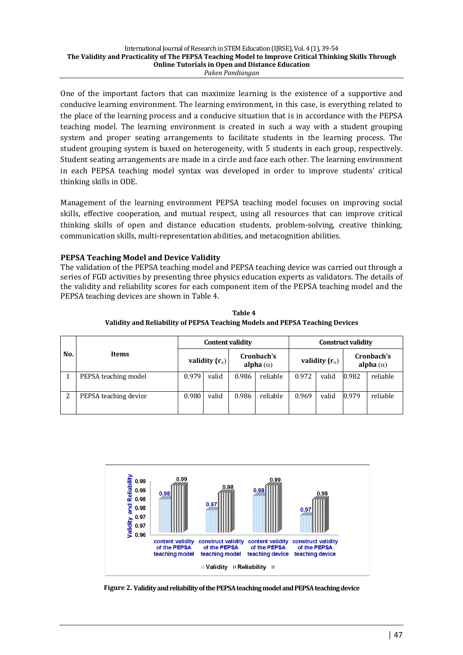One of the important factors that can maximize learning is the existence of a supportive and conducive learning environment. The learning environment, in this case, is everything related to the place of the learning process and a conducive situation that is in accordance with the PEPSA teaching model. The learning environment is created in such a way with a student grouping system and proper seating arrangements to facilitate students in the learning process. The student grouping system is based on heterogeneity, with 5 students in each group, respectively. Student seating arrangements are made in a circle and face each other. The learning environment in each PEPSA teaching model syntax was developed in order to improve students' critical thinking skills in ODE.

Management of the learning environment PEPSA teaching model focuses on improving social skills, effective cooperation, and mutual respect, using all resources that can improve critical thinking skills of open and distance education students, problem-solving, creative thinking, communication skills, multi-representation abilities, and metacognition abilities.

## **PEPSA Teaching Model and Device Validity**

The validation of the PEPSA teaching model and PEPSA teaching device was carried out through a series of FGD activities by presenting three physics education experts as validators. The details of the validity and reliability scores for each component item of the PEPSA teaching model and the PEPSA teaching devices are shown in Table 4.

|     |                       |                         | <b>Content validity</b> |       |                                | <b>Construct validity</b> |       |                                |          |
|-----|-----------------------|-------------------------|-------------------------|-------|--------------------------------|---------------------------|-------|--------------------------------|----------|
| No. | <b>Items</b>          | validity $(r_{\alpha})$ |                         |       | Cronbach's<br>alpha $(\alpha)$ | validity $(r_{\alpha})$   |       | Cronbach's<br>alpha $(\alpha)$ |          |
|     | PEPSA teaching model  | 0.979                   | valid                   | 0.986 | reliable                       | 0.972                     | valid | 0.982                          | reliable |
| 2   | PEPSA teaching device | 0.980                   | valid                   | 0.986 | reliable                       | 0.969                     | valid | 0.979                          | reliable |

**Table 4 Validity and Reliability of PEPSA Teaching Models and PEPSA Teaching Devices** 



Figure 2. Validity and reliability of the PEPSA teaching model and PEPSA teaching device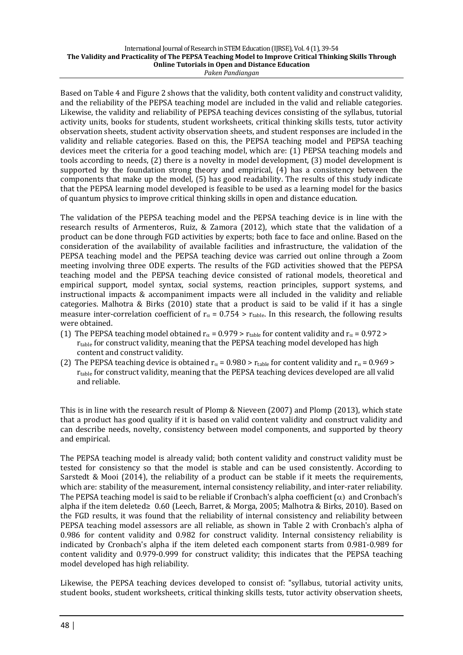Based on Table 4 and Figure 2 shows that the validity, both content validity and construct validity, and the reliability of the PEPSA teaching model are included in the valid and reliable categories. Likewise, the validity and reliability of PEPSA teaching devices consisting of the syllabus, tutorial activity units, books for students, student worksheets, critical thinking skills tests, tutor activity observation sheets, student activity observation sheets, and student responses are included in the validity and reliable categories. Based on this, the PEPSA teaching model and PEPSA teaching devices meet the criteria for a good teaching model, which are: (1) PEPSA teaching models and tools according to needs,  $(2)$  there is a novelty in model development,  $(3)$  model development is supported by the foundation strong theory and empirical,  $(4)$  has a consistency between the components that make up the model,  $(5)$  has good readability. The results of this study indicate that the PEPSA learning model developed is feasible to be used as a learning model for the basics of quantum physics to improve critical thinking skills in open and distance education.

The validation of the PEPSA teaching model and the PEPSA teaching device is in line with the research results of Armenteros, Ruiz, & Zamora (2012), which state that the validation of a product can be done through FGD activities by experts; both face to face and online. Based on the consideration of the availability of available facilities and infrastructure, the validation of the PEPSA teaching model and the PEPSA teaching device was carried out online through a Zoom meeting involving three ODE experts. The results of the FGD activities showed that the PEPSA teaching model and the PEPSA teaching device consisted of rational models, theoretical and empirical support, model syntax, social systems, reaction principles, support systems, and instructional impacts  $&$  accompaniment impacts were all included in the validity and reliable categories. Malhotra & Birks (2010) state that a product is said to be valid if it has a single measure inter-correlation coefficient of  $r_a = 0.754 > r_{table}$ . In this research, the following results were obtained.

- (1) The PEPSA teaching model obtained  $r_\alpha$  = 0.979 >  $r_{\text{table}}$  for content validity and  $r_\alpha$  = 0.972 > r<sub>table</sub> for construct validity, meaning that the PEPSA teaching model developed has high content and construct validity.
- (2) The PEPSA teaching device is obtained  $r_\alpha$  = 0.980 >  $r_{\text{table}}$  for content validity and  $r_\alpha$  = 0.969 > r<sub>table</sub> for construct validity, meaning that the PEPSA teaching devices developed are all valid and reliable.

This is in line with the research result of Plomp & Nieveen  $(2007)$  and Plomp  $(2013)$ , which state that a product has good quality if it is based on valid content validity and construct validity and can describe needs, novelty, consistency between model components, and supported by theory and empirical.

The PEPSA teaching model is already valid; both content validity and construct validity must be tested for consistency so that the model is stable and can be used consistently. According to Sarstedt & Mooi (2014), the reliability of a product can be stable if it meets the requirements, which are: stability of the measurement, internal consistency reliability, and inter-rater reliability. The PEPSA teaching model is said to be reliable if Cronbach's alpha coefficient  $(\alpha)$  and Cronbach's alpha if the item deleted≥ 0.60 (Leech, Barret, & Morga, 2005; Malhotra & Birks, 2010). Based on the FGD results, it was found that the reliability of internal consistency and reliability between PEPSA teaching model assessors are all reliable, as shown in Table 2 with Cronbach's alpha of 0.986 for content validity and 0.982 for construct validity. Internal consistency reliability is indicated by Cronbach's alpha if the item deleted each component starts from 0.981-0.989 for content validity and 0.979-0.999 for construct validity; this indicates that the PEPSA teaching model developed has high reliability.

Likewise, the PEPSA teaching devices developed to consist of: "syllabus, tutorial activity units. student books, student worksheets, critical thinking skills tests, tutor activity observation sheets,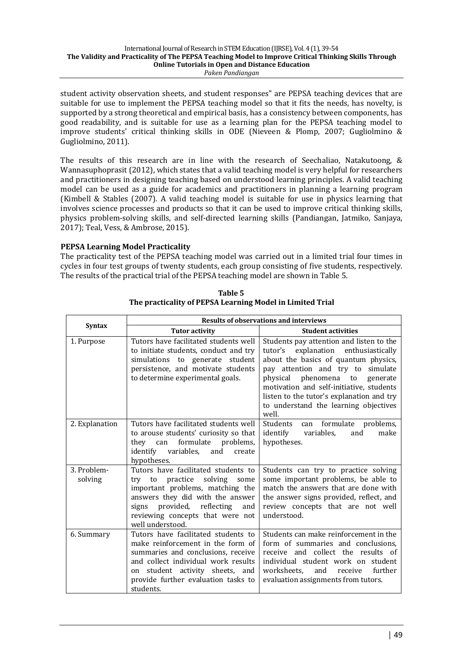student activity observation sheets, and student responses" are PEPSA teaching devices that are suitable for use to implement the PEPSA teaching model so that it fits the needs, has novelty, is supported by a strong theoretical and empirical basis, has a consistency between components, has good readability, and is suitable for use as a learning plan for the PEPSA teaching model to improve students' critical thinking skills in ODE (Nieveen & Plomp, 2007; Gugliolmino & Gugliolmino, 2011).

The results of this research are in line with the research of Seechaliao, Natakutoong, & Wannasuphoprasit (2012), which states that a valid teaching model is very helpful for researchers and practitioners in designing teaching based on understood learning principles. A valid teaching model can be used as a guide for academics and practitioners in planning a learning program (Kimbell & Stables (2007). A valid teaching model is suitable for use in physics learning that involves science processes and products so that it can be used to improve critical thinking skills, physics problem-solving skills, and self-directed learning skills (Pandiangan, Jatmiko, Sanjaya, 2017): Teal, Vess, & Ambrose, 2015).

### **PEPSA Learning Model Practicality**

The practicality test of the PEPSA teaching model was carried out in a limited trial four times in cycles in four test groups of twenty students, each group consisting of five students, respectively. The results of the practical trial of the PEPSA teaching model are shown in Table 5.

|                        | <b>Results of observations and interviews</b>                                                                                                                                                                                                        |                                                                                                                                                                                                                                                                                                                                               |  |  |  |
|------------------------|------------------------------------------------------------------------------------------------------------------------------------------------------------------------------------------------------------------------------------------------------|-----------------------------------------------------------------------------------------------------------------------------------------------------------------------------------------------------------------------------------------------------------------------------------------------------------------------------------------------|--|--|--|
| <b>Syntax</b>          | <b>Tutor activity</b>                                                                                                                                                                                                                                | <b>Student activities</b>                                                                                                                                                                                                                                                                                                                     |  |  |  |
| 1. Purpose             | Tutors have facilitated students well<br>to initiate students, conduct and try<br>simulations to generate student<br>persistence, and motivate students<br>to determine experimental goals.                                                          | Students pay attention and listen to the<br>explanation enthusiastically<br>tutor's<br>about the basics of quantum physics,<br>pay attention and try to simulate<br>physical phenomena to generate<br>motivation and self-initiative, students<br>listen to the tutor's explanation and try<br>to understand the learning objectives<br>well. |  |  |  |
| 2. Explanation         | Tutors have facilitated students well<br>to arouse students' curiosity so that<br>they can formulate<br>problems,<br>identify<br>variables,<br>and<br>create<br>hypotheses.                                                                          | Students<br>can formulate problems,<br>identify<br>variables,<br>and<br>make<br>hypotheses.                                                                                                                                                                                                                                                   |  |  |  |
| 3. Problem-<br>solving | Tutors have facilitated students to<br>practice<br>solving<br>try to<br>some<br>important problems, matching the<br>answers they did with the answer<br>provided, reflecting<br>signs<br>and<br>reviewing concepts that were not<br>well understood. | Students can try to practice solving<br>some important problems, be able to<br>match the answers that are done with<br>the answer signs provided, reflect, and<br>review concepts that are not well<br>understood.                                                                                                                            |  |  |  |
| 6. Summary             | Tutors have facilitated students to<br>make reinforcement in the form of<br>summaries and conclusions, receive<br>and collect individual work results<br>student activity sheets, and<br>on<br>provide further evaluation tasks to<br>students.      | Students can make reinforcement in the<br>form of summaries and conclusions,<br>receive and collect the results of<br>individual student work on student<br>worksheets,<br>further<br>and<br>receive<br>evaluation assignments from tutors.                                                                                                   |  |  |  |

**Table 5** The practicality of PEPSA Learning Model in Limited Trial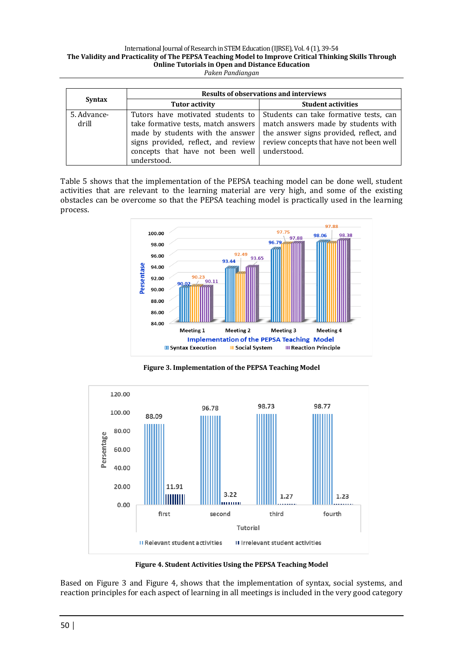|                      | <b>Results of observations and interviews</b>                                                                                                                                                                        |                                                                                                                                                                     |  |  |  |
|----------------------|----------------------------------------------------------------------------------------------------------------------------------------------------------------------------------------------------------------------|---------------------------------------------------------------------------------------------------------------------------------------------------------------------|--|--|--|
| <b>Syntax</b>        | <b>Tutor activity</b>                                                                                                                                                                                                | <b>Student activities</b>                                                                                                                                           |  |  |  |
| 5. Advance-<br>drill | Tutors have motivated students to<br>take formative tests, match answers<br>made by students with the answer<br>signs provided, reflect, and review<br>concepts that have not been well   understood.<br>understood. | Students can take formative tests, can<br>match answers made by students with<br>the answer signs provided, reflect, and<br>review concepts that have not been well |  |  |  |

Table 5 shows that the implementation of the PEPSA teaching model can be done well, student activities that are relevant to the learning material are very high, and some of the existing obstacles can be overcome so that the PEPSA teaching model is practically used in the learning process.



Figure 3. Implementation of the PEPSA Teaching Model



Figure 4. Student Activities Using the PEPSA Teaching Model

Based on Figure 3 and Figure 4, shows that the implementation of syntax, social systems, and reaction principles for each aspect of learning in all meetings is included in the very good category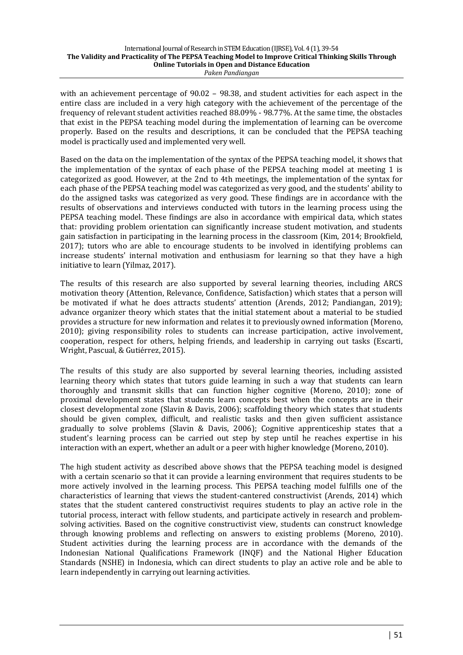with an achievement percentage of  $90.02 - 98.38$ , and student activities for each aspect in the entire class are included in a very high category with the achievement of the percentage of the frequency of relevant student activities reached 88.09% - 98.77%. At the same time, the obstacles that exist in the PEPSA teaching model during the implementation of learning can be overcome properly. Based on the results and descriptions, it can be concluded that the PEPSA teaching model is practically used and implemented very well.

Based on the data on the implementation of the syntax of the PEPSA teaching model, it shows that the implementation of the syntax of each phase of the PEPSA teaching model at meeting 1 is categorized as good. However, at the 2nd to 4th meetings, the implementation of the syntax for each phase of the PEPSA teaching model was categorized as very good, and the students' ability to do the assigned tasks was categorized as very good. These findings are in accordance with the results of observations and interviews conducted with tutors in the learning process using the PEPSA teaching model. These findings are also in accordance with empirical data, which states that: providing problem orientation can significantly increase student motivation, and students gain satisfaction in participating in the learning process in the classroom (Kim, 2014; Brookfield,  $2017$ ); tutors who are able to encourage students to be involved in identifying problems can increase students' internal motivation and enthusiasm for learning so that they have a high initiative to learn (Yilmaz, 2017).

The results of this research are also supported by several learning theories, including ARCS motivation theory (Attention, Relevance, Confidence, Satisfaction) which states that a person will be motivated if what he does attracts students' attention (Arends, 2012; Pandiangan, 2019); advance organizer theory which states that the initial statement about a material to be studied provides a structure for new information and relates it to previously owned information (Moreno, 2010); giving responsibility roles to students can increase participation, active involvement, cooperation, respect for others, helping friends, and leadership in carrying out tasks (Escarti, Wright, Pascual, & Gutiérrez, 2015).

The results of this study are also supported by several learning theories, including assisted learning theory which states that tutors guide learning in such a way that students can learn thoroughly and transmit skills that can function higher cognitive (Moreno, 2010); zone of proximal development states that students learn concepts best when the concepts are in their closest developmental zone (Slavin & Davis, 2006); scaffolding theory which states that students should be given complex, difficult, and realistic tasks and then given sufficient assistance gradually to solve problems (Slavin & Davis, 2006); Cognitive apprenticeship states that a student's learning process can be carried out step by step until he reaches expertise in his interaction with an expert, whether an adult or a peer with higher knowledge (Moreno, 2010).

The high student activity as described above shows that the PEPSA teaching model is designed with a certain scenario so that it can provide a learning environment that requires students to be more actively involved in the learning process. This PEPSA teaching model fulfills one of the characteristics of learning that views the student-cantered constructivist (Arends, 2014) which states that the student cantered constructivist requires students to play an active role in the tutorial process, interact with fellow students, and participate actively in research and problemsolving activities. Based on the cognitive constructivist view, students can construct knowledge through knowing problems and reflecting on answers to existing problems (Moreno, 2010). Student activities during the learning process are in accordance with the demands of the Indonesian National Qualifications Framework (INQF) and the National Higher Education Standards (NSHE) in Indonesia, which can direct students to play an active role and be able to learn independently in carrying out learning activities.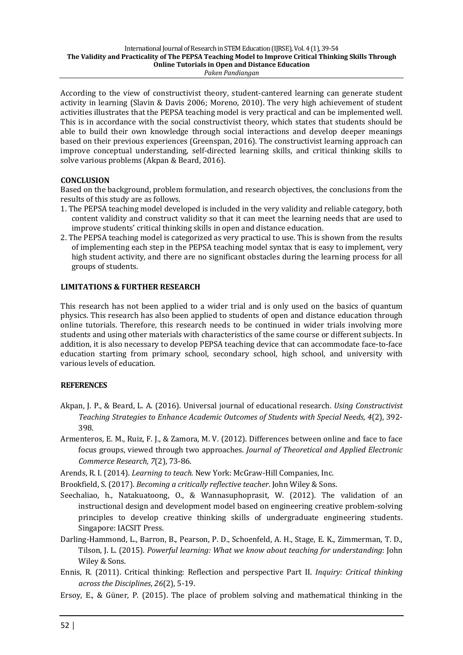According to the view of constructivist theory, student-cantered learning can generate student activity in learning (Slavin & Davis 2006; Moreno, 2010). The very high achievement of student activities illustrates that the PEPSA teaching model is very practical and can be implemented well. This is in accordance with the social constructivist theory, which states that students should be able to build their own knowledge through social interactions and develop deeper meanings based on their previous experiences (Greenspan, 2016). The constructivist learning approach can improve conceptual understanding, self-directed learning skills, and critical thinking skills to solve various problems (Akpan & Beard, 2016).

## **CONCLUSION**

Based on the background, problem formulation, and research objectives, the conclusions from the results of this study are as follows.

- 1. The PEPSA teaching model developed is included in the very validity and reliable category, both content validity and construct validity so that it can meet the learning needs that are used to improve students' critical thinking skills in open and distance education.
- 2. The PEPSA teaching model is categorized as very practical to use. This is shown from the results of implementing each step in the PEPSA teaching model syntax that is easy to implement, very high student activity, and there are no significant obstacles during the learning process for all groups of students.

## **LIMITATIONS & FURTHER RESEARCH**

This research has not been applied to a wider trial and is only used on the basics of quantum physics. This research has also been applied to students of open and distance education through online tutorials. Therefore, this research needs to be continued in wider trials involving more students and using other materials with characteristics of the same course or different subjects. In addition, it is also necessary to develop PEPSA teaching device that can accommodate face-to-face education starting from primary school, secondary school, high school, and university with various levels of education.

## **REFERENCES**

- Akpan, J. P., & Beard, L. A. (2016). Universal journal of educational research. *Using Constructivist* Teaching Strategies to Enhance Academic Outcomes of Students with Special Needs, 4(2), 392-398.
- Armenteros, E. M., Ruiz, F. J., & Zamora, M. V. (2012). Differences between online and face to face focus groups, viewed through two approaches. *Journal of Theoretical and Applied Electronic Commerce Research, 7*(2), 73-86.
- Arends, R. I. (2014). *Learning to teach.* New York: McGraw-Hill Companies, Inc.
- Brookfield, S. (2017). *Becoming a critically reflective teacher*. John Wiley & Sons.
- Seechaliao, h., Natakuatoong, O., & Wannasuphoprasit, W. (2012). The validation of an instructional design and development model based on engineering creative problem-solving principles to develop creative thinking skills of undergraduate engineering students. Singapore: IACSIT Press.
- Darling-Hammond, L., Barron, B., Pearson, P. D., Schoenfeld, A. H., Stage, E. K., Zimmerman, T. D., Tilson, J. L. (2015). *Powerful learning: What we know about teaching for understanding*: John Wiley & Sons.
- Ennis, R. (2011). Critical thinking: Reflection and perspective Part II. *Inquiry: Critical thinking across the Disciplines*, *26*(2), 5-19.
- Ersoy, E., & Güner, P. (2015). The place of problem solving and mathematical thinking in the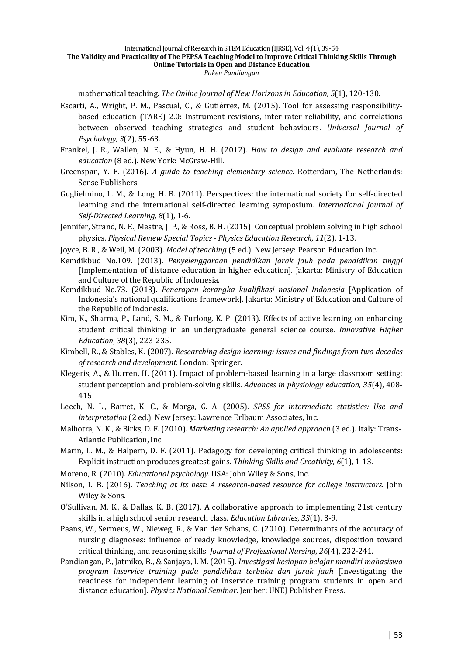mathematical teaching. The Online Journal of New Horizons in Education, 5(1), 120-130.

- Escarti, A., Wright, P. M., Pascual, C., & Gutiérrez, M. (2015). Tool for assessing responsibilitybased education (TARE) 2.0: Instrument revisions, inter-rater reliability, and correlations between observed teaching strategies and student behaviours. *Universal Journal of Psychology,* 3(2), 55-63.
- Frankel, J. R., Wallen, N. E., & Hyun, H. H. (2012). *How to design and evaluate research and education* (8 ed.). New York: McGraw-Hill.
- Greenspan, Y. F. (2016). *A guide to teaching elementary science.* Rotterdam, The Netherlands: Sense Publishers.
- Guglielmino, L. M., & Long, H. B.  $(2011)$ . Perspectives: the international society for self-directed learning and the international self-directed learning symposium. *International Journal of Self-Directed Learning, 8*(1), 1-6.
- Jennifer, Strand, N. E., Mestre, J. P., & Ross, B. H. (2015). Conceptual problem solving in high school physics. Physical Review Special Topics - Physics Education Research, 11(2), 1-13.
- Joyce, B. R., & Weil, M. (2003). *Model of teaching* (5 ed.). New Jersey: Pearson Education Inc.
- Kemdikbud No.109. (2013). *Penyelenggaraan pendidikan jarak jauh pada pendidikan tinggi* [Implementation of distance education in higher education]. Jakarta: Ministry of Education and Culture of the Republic of Indonesia.
- Kemdikbud No.73. (2013). *Penerapan kerangka kualifikasi nasional Indonesia* [Application of Indonesia's national qualifications framework]. Jakarta: Ministry of Education and Culture of the Republic of Indonesia.
- Kim, K., Sharma, P., Land, S. M., & Furlong, K. P. (2013). Effects of active learning on enhancing student critical thinking in an undergraduate general science course. *Innovative Higher Education*, *38*(3), 223-235.
- Kimbell, R., & Stables, K. (2007). *Researching design learning: issues and findings from two decades of research and development.* London: Springer.
- Klegeris, A., & Hurren, H. (2011). Impact of problem-based learning in a large classroom setting: student perception and problem-solving skills. *Advances in physiology education, 35*(4), 408-415.
- Leech, N. L., Barret, K. C., & Morga, G. A. (2005). *SPSS for intermediate statistics: Use and interpretation* (2 ed.). New Jersey: Lawrence Erlbaum Associates, Inc.
- Malhotra, N. K., & Birks, D. F. (2010). *Marketing research: An applied approach* (3 ed.). Italy: Trans-Atlantic Publication, Inc.
- Marin, L. M., & Halpern, D. F. (2011). Pedagogy for developing critical thinking in adolescents: Explicit instruction produces greatest gains. *Thinking Skills and Creativity*,  $6(1)$ , 1-13.
- Moreno, R. (2010). *Educational psychology.* USA: John Wiley & Sons, Inc.
- Nilson, L. B. (2016). *Teaching at its best: A research-based resource for college instructors*. John Wiley & Sons.
- O'Sullivan, M. K., & Dallas, K. B. (2017). A collaborative approach to implementing 21st century skills in a high school senior research class. *Education Libraries*, 33(1), 3-9.
- Paans, W., Sermeus, W., Nieweg, R., & Van der Schans, C. (2010). Determinants of the accuracy of nursing diagnoses: influence of ready knowledge, knowledge sources, disposition toward critical thinking, and reasoning skills. *Journal of Professional Nursing*, 26(4), 232-241.
- Pandiangan, P., Jatmiko, B., & Sanjaya, I. M. (2015). *Investigasi kesiapan belajar mandiri mahasiswa program Inservice training pada pendidikan terbuka dan jarak jauh* [Investigating the readiness for independent learning of Inservice training program students in open and distance education]. *Physics National Seminar*. Jember: UNEJ Publisher Press.